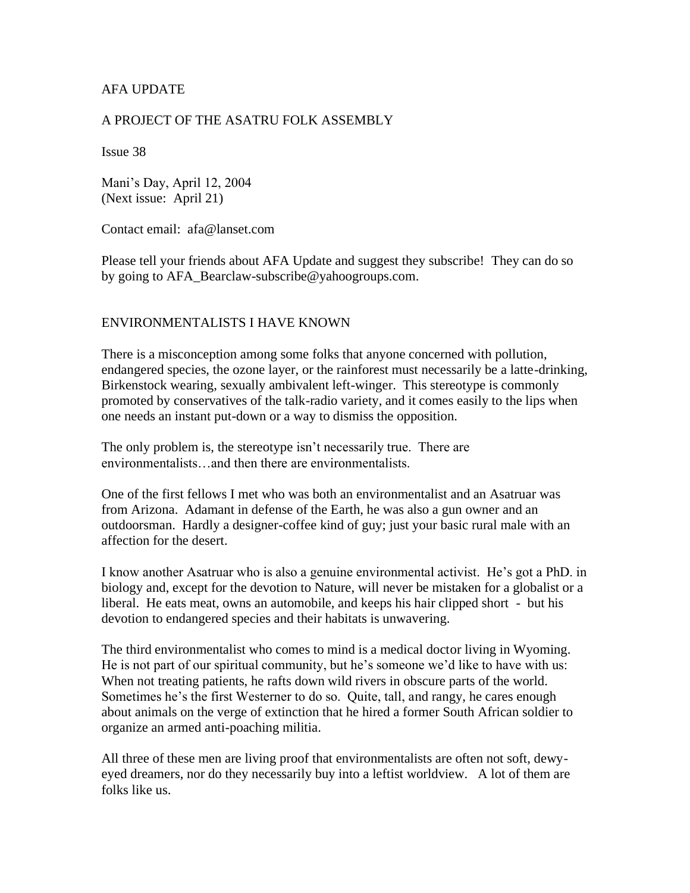#### AFA UPDATE

#### A PROJECT OF THE ASATRU FOLK ASSEMBLY

Issue 38

Mani's Day, April 12, 2004 (Next issue: April 21)

Contact email: afa@lanset.com

Please tell your friends about AFA Update and suggest they subscribe! They can do so by going to AFA\_Bearclaw-subscribe@yahoogroups.com.

#### ENVIRONMENTALISTS I HAVE KNOWN

There is a misconception among some folks that anyone concerned with pollution, endangered species, the ozone layer, or the rainforest must necessarily be a latte-drinking, Birkenstock wearing, sexually ambivalent left-winger. This stereotype is commonly promoted by conservatives of the talk-radio variety, and it comes easily to the lips when one needs an instant put-down or a way to dismiss the opposition.

The only problem is, the stereotype isn't necessarily true. There are environmentalists…and then there are environmentalists.

One of the first fellows I met who was both an environmentalist and an Asatruar was from Arizona. Adamant in defense of the Earth, he was also a gun owner and an outdoorsman. Hardly a designer-coffee kind of guy; just your basic rural male with an affection for the desert.

I know another Asatruar who is also a genuine environmental activist. He's got a PhD. in biology and, except for the devotion to Nature, will never be mistaken for a globalist or a liberal. He eats meat, owns an automobile, and keeps his hair clipped short - but his devotion to endangered species and their habitats is unwavering.

The third environmentalist who comes to mind is a medical doctor living in Wyoming. He is not part of our spiritual community, but he's someone we'd like to have with us: When not treating patients, he rafts down wild rivers in obscure parts of the world. Sometimes he's the first Westerner to do so. Quite, tall, and rangy, he cares enough about animals on the verge of extinction that he hired a former South African soldier to organize an armed anti-poaching militia.

All three of these men are living proof that environmentalists are often not soft, dewyeyed dreamers, nor do they necessarily buy into a leftist worldview. A lot of them are folks like us.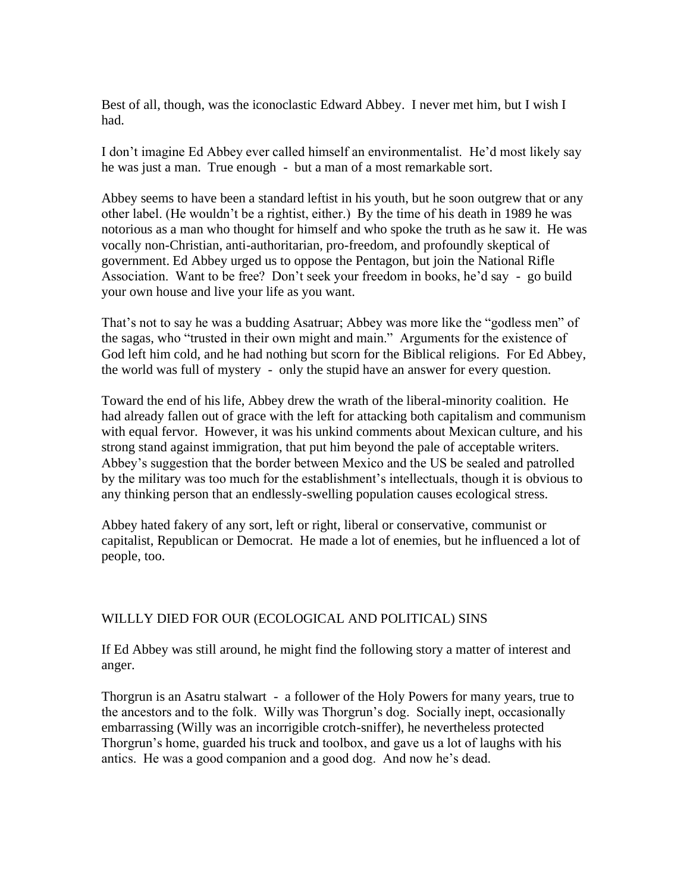Best of all, though, was the iconoclastic Edward Abbey. I never met him, but I wish I had.

I don't imagine Ed Abbey ever called himself an environmentalist. He'd most likely say he was just a man. True enough - but a man of a most remarkable sort.

Abbey seems to have been a standard leftist in his youth, but he soon outgrew that or any other label. (He wouldn't be a rightist, either.) By the time of his death in 1989 he was notorious as a man who thought for himself and who spoke the truth as he saw it. He was vocally non-Christian, anti-authoritarian, pro-freedom, and profoundly skeptical of government. Ed Abbey urged us to oppose the Pentagon, but join the National Rifle Association. Want to be free? Don't seek your freedom in books, he'd say - go build your own house and live your life as you want.

That's not to say he was a budding Asatruar; Abbey was more like the "godless men" of the sagas, who "trusted in their own might and main." Arguments for the existence of God left him cold, and he had nothing but scorn for the Biblical religions. For Ed Abbey, the world was full of mystery - only the stupid have an answer for every question.

Toward the end of his life, Abbey drew the wrath of the liberal-minority coalition. He had already fallen out of grace with the left for attacking both capitalism and communism with equal fervor. However, it was his unkind comments about Mexican culture, and his strong stand against immigration, that put him beyond the pale of acceptable writers. Abbey's suggestion that the border between Mexico and the US be sealed and patrolled by the military was too much for the establishment's intellectuals, though it is obvious to any thinking person that an endlessly-swelling population causes ecological stress.

Abbey hated fakery of any sort, left or right, liberal or conservative, communist or capitalist, Republican or Democrat. He made a lot of enemies, but he influenced a lot of people, too.

# WILLLY DIED FOR OUR (ECOLOGICAL AND POLITICAL) SINS

If Ed Abbey was still around, he might find the following story a matter of interest and anger.

Thorgrun is an Asatru stalwart - a follower of the Holy Powers for many years, true to the ancestors and to the folk. Willy was Thorgrun's dog. Socially inept, occasionally embarrassing (Willy was an incorrigible crotch-sniffer), he nevertheless protected Thorgrun's home, guarded his truck and toolbox, and gave us a lot of laughs with his antics. He was a good companion and a good dog. And now he's dead.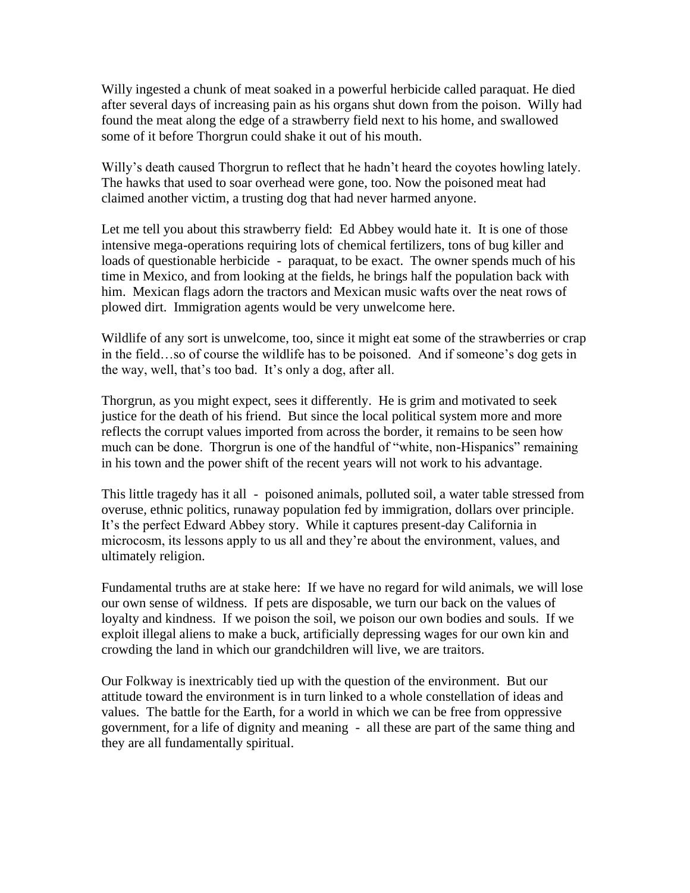Willy ingested a chunk of meat soaked in a powerful herbicide called paraquat. He died after several days of increasing pain as his organs shut down from the poison. Willy had found the meat along the edge of a strawberry field next to his home, and swallowed some of it before Thorgrun could shake it out of his mouth.

Willy's death caused Thorgrun to reflect that he hadn't heard the coyotes howling lately. The hawks that used to soar overhead were gone, too. Now the poisoned meat had claimed another victim, a trusting dog that had never harmed anyone.

Let me tell you about this strawberry field: Ed Abbey would hate it. It is one of those intensive mega-operations requiring lots of chemical fertilizers, tons of bug killer and loads of questionable herbicide - paraquat, to be exact. The owner spends much of his time in Mexico, and from looking at the fields, he brings half the population back with him. Mexican flags adorn the tractors and Mexican music wafts over the neat rows of plowed dirt. Immigration agents would be very unwelcome here.

Wildlife of any sort is unwelcome, too, since it might eat some of the strawberries or crap in the field…so of course the wildlife has to be poisoned. And if someone's dog gets in the way, well, that's too bad. It's only a dog, after all.

Thorgrun, as you might expect, sees it differently. He is grim and motivated to seek justice for the death of his friend. But since the local political system more and more reflects the corrupt values imported from across the border, it remains to be seen how much can be done. Thorgrun is one of the handful of "white, non-Hispanics" remaining in his town and the power shift of the recent years will not work to his advantage.

This little tragedy has it all - poisoned animals, polluted soil, a water table stressed from overuse, ethnic politics, runaway population fed by immigration, dollars over principle. It's the perfect Edward Abbey story. While it captures present-day California in microcosm, its lessons apply to us all and they're about the environment, values, and ultimately religion.

Fundamental truths are at stake here: If we have no regard for wild animals, we will lose our own sense of wildness. If pets are disposable, we turn our back on the values of loyalty and kindness. If we poison the soil, we poison our own bodies and souls. If we exploit illegal aliens to make a buck, artificially depressing wages for our own kin and crowding the land in which our grandchildren will live, we are traitors.

Our Folkway is inextricably tied up with the question of the environment. But our attitude toward the environment is in turn linked to a whole constellation of ideas and values. The battle for the Earth, for a world in which we can be free from oppressive government, for a life of dignity and meaning - all these are part of the same thing and they are all fundamentally spiritual.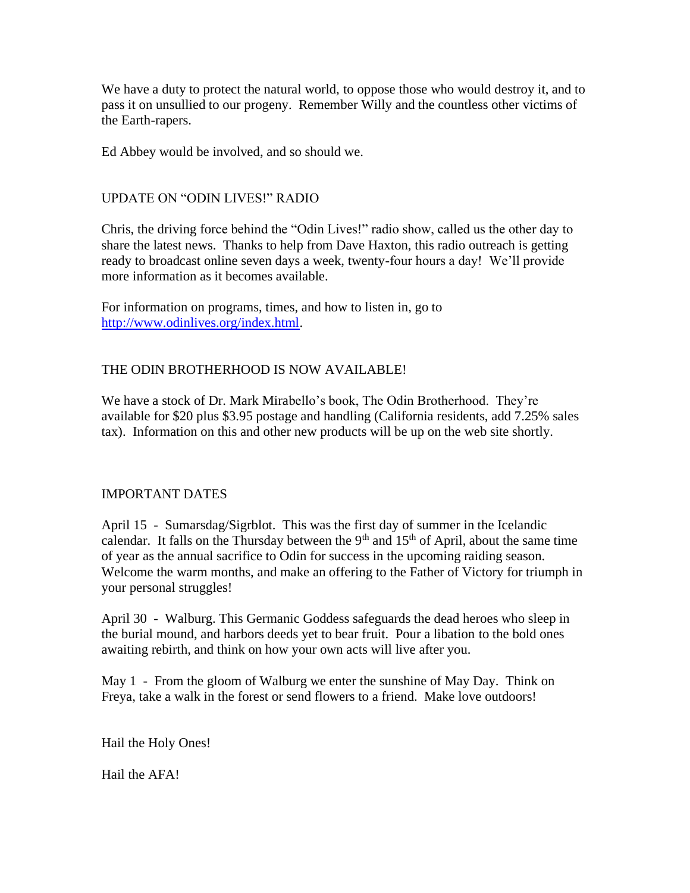We have a duty to protect the natural world, to oppose those who would destroy it, and to pass it on unsullied to our progeny. Remember Willy and the countless other victims of the Earth-rapers.

Ed Abbey would be involved, and so should we.

# UPDATE ON "ODIN LIVES!" RADIO

Chris, the driving force behind the "Odin Lives!" radio show, called us the other day to share the latest news. Thanks to help from Dave Haxton, this radio outreach is getting ready to broadcast online seven days a week, twenty-four hours a day! We'll provide more information as it becomes available.

For information on programs, times, and how to listen in, go to [http://www.odinlives.org/index.html.](http://www.odinlives.org/index.html)

# THE ODIN BROTHERHOOD IS NOW AVAILABLE!

We have a stock of Dr. Mark Mirabello's book, The Odin Brotherhood. They're available for \$20 plus \$3.95 postage and handling (California residents, add 7.25% sales tax). Information on this and other new products will be up on the web site shortly.

#### IMPORTANT DATES

April 15 - Sumarsdag/Sigrblot. This was the first day of summer in the Icelandic calendar. It falls on the Thursday between the  $9<sup>th</sup>$  and  $15<sup>th</sup>$  of April, about the same time of year as the annual sacrifice to Odin for success in the upcoming raiding season. Welcome the warm months, and make an offering to the Father of Victory for triumph in your personal struggles!

April 30 - Walburg. This Germanic Goddess safeguards the dead heroes who sleep in the burial mound, and harbors deeds yet to bear fruit. Pour a libation to the bold ones awaiting rebirth, and think on how your own acts will live after you.

May 1 - From the gloom of Walburg we enter the sunshine of May Day. Think on Freya, take a walk in the forest or send flowers to a friend. Make love outdoors!

Hail the Holy Ones!

Hail the AFA!